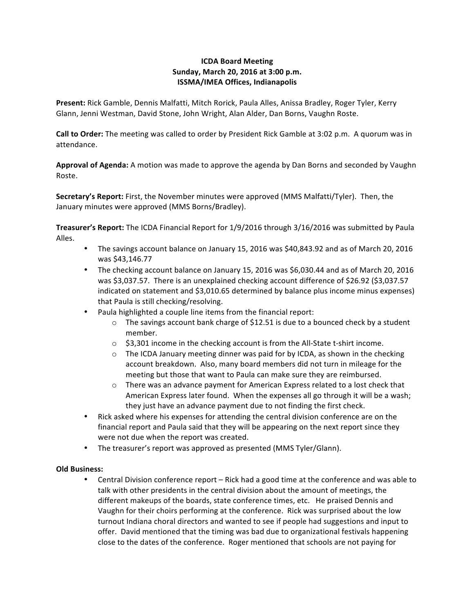# **ICDA Board Meeting Sunday, March 20, 2016 at 3:00 p.m. ISSMA/IMEA Offices, Indianapolis**

Present: Rick Gamble, Dennis Malfatti, Mitch Rorick, Paula Alles, Anissa Bradley, Roger Tyler, Kerry Glann, Jenni Westman, David Stone, John Wright, Alan Alder, Dan Borns, Vaughn Roste.

**Call to Order:** The meeting was called to order by President Rick Gamble at 3:02 p.m. A quorum was in attendance.

**Approval of Agenda:** A motion was made to approve the agenda by Dan Borns and seconded by Vaughn Roste.

**Secretary's Report:** First, the November minutes were approved (MMS Malfatti/Tyler). Then, the January minutes were approved (MMS Borns/Bradley).

**Treasurer's Report:** The ICDA Financial Report for 1/9/2016 through 3/16/2016 was submitted by Paula Alles.

- The savings account balance on January 15, 2016 was \$40,843.92 and as of March 20, 2016 was \$43,146.77
- The checking account balance on January 15, 2016 was \$6,030.44 and as of March 20, 2016 was \$3,037.57. There is an unexplained checking account difference of \$26.92 (\$3,037.57 indicated on statement and \$3,010.65 determined by balance plus income minus expenses) that Paula is still checking/resolving.
- Paula highlighted a couple line items from the financial report:
	- $\circ$  The savings account bank charge of \$12.51 is due to a bounced check by a student member.
	- $\circ$  \$3,301 income in the checking account is from the All-State t-shirt income.
	- $\circ$  The ICDA January meeting dinner was paid for by ICDA, as shown in the checking account breakdown. Also, many board members did not turn in mileage for the meeting but those that want to Paula can make sure they are reimbursed.
	- $\circ$  There was an advance payment for American Express related to a lost check that American Express later found. When the expenses all go through it will be a wash; they just have an advance payment due to not finding the first check.
- Rick asked where his expenses for attending the central division conference are on the financial report and Paula said that they will be appearing on the next report since they were not due when the report was created.
- The treasurer's report was approved as presented (MMS Tyler/Glann).

## **Old Business:**

• Central Division conference report – Rick had a good time at the conference and was able to talk with other presidents in the central division about the amount of meetings, the different makeups of the boards, state conference times, etc. He praised Dennis and Vaughn for their choirs performing at the conference. Rick was surprised about the low turnout Indiana choral directors and wanted to see if people had suggestions and input to offer. David mentioned that the timing was bad due to organizational festivals happening close to the dates of the conference. Roger mentioned that schools are not paying for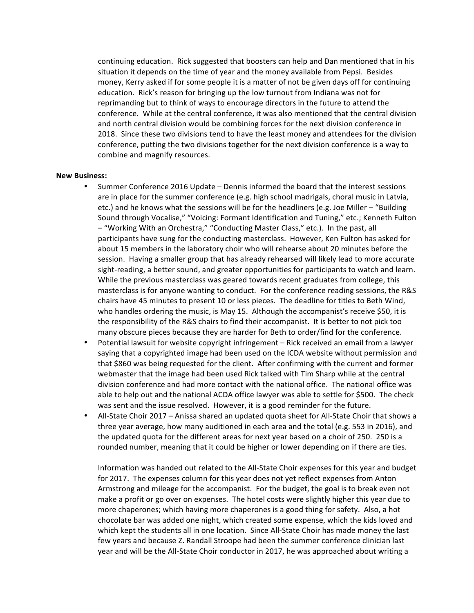continuing education. Rick suggested that boosters can help and Dan mentioned that in his situation it depends on the time of year and the money available from Pepsi. Besides money, Kerry asked if for some people it is a matter of not be given days off for continuing education. Rick's reason for bringing up the low turnout from Indiana was not for reprimanding but to think of ways to encourage directors in the future to attend the conference. While at the central conference, it was also mentioned that the central division and north central division would be combining forces for the next division conference in 2018. Since these two divisions tend to have the least money and attendees for the division conference, putting the two divisions together for the next division conference is a way to combine and magnify resources.

#### **New Business:**

- Summer Conference 2016 Update Dennis informed the board that the interest sessions are in place for the summer conference  $(e.g.$  high school madrigals, choral music in Latvia, etc.) and he knows what the sessions will be for the headliners (e.g. Joe Miller – "Building Sound through Vocalise," "Voicing: Formant Identification and Tuning," etc.; Kenneth Fulton  $-$  "Working With an Orchestra," "Conducting Master Class," etc.). In the past, all participants have sung for the conducting masterclass. However, Ken Fulton has asked for about 15 members in the laboratory choir who will rehearse about 20 minutes before the session. Having a smaller group that has already rehearsed will likely lead to more accurate sight-reading, a better sound, and greater opportunities for participants to watch and learn. While the previous masterclass was geared towards recent graduates from college, this masterclass is for anyone wanting to conduct. For the conference reading sessions, the R&S chairs have 45 minutes to present 10 or less pieces. The deadline for titles to Beth Wind, who handles ordering the music, is May 15. Although the accompanist's receive \$50, it is the responsibility of the R&S chairs to find their accompanist. It is better to not pick too many obscure pieces because they are harder for Beth to order/find for the conference.
- Potential lawsuit for website copyright infringement Rick received an email from a lawyer saying that a copyrighted image had been used on the ICDA website without permission and that \$860 was being requested for the client. After confirming with the current and former webmaster that the image had been used Rick talked with Tim Sharp while at the central division conference and had more contact with the national office. The national office was able to help out and the national ACDA office lawyer was able to settle for \$500. The check was sent and the issue resolved. However, it is a good reminder for the future.
- All-State Choir 2017 Anissa shared an updated quota sheet for All-State Choir that shows a three year average, how many auditioned in each area and the total (e.g. 553 in 2016), and the updated quota for the different areas for next year based on a choir of 250. 250 is a rounded number, meaning that it could be higher or lower depending on if there are ties.

Information was handed out related to the All-State Choir expenses for this year and budget for 2017. The expenses column for this year does not yet reflect expenses from Anton Armstrong and mileage for the accompanist. For the budget, the goal is to break even not make a profit or go over on expenses. The hotel costs were slightly higher this year due to more chaperones; which having more chaperones is a good thing for safety. Also, a hot chocolate bar was added one night, which created some expense, which the kids loved and which kept the students all in one location. Since All-State Choir has made money the last few years and because Z. Randall Stroope had been the summer conference clinician last year and will be the All-State Choir conductor in 2017, he was approached about writing a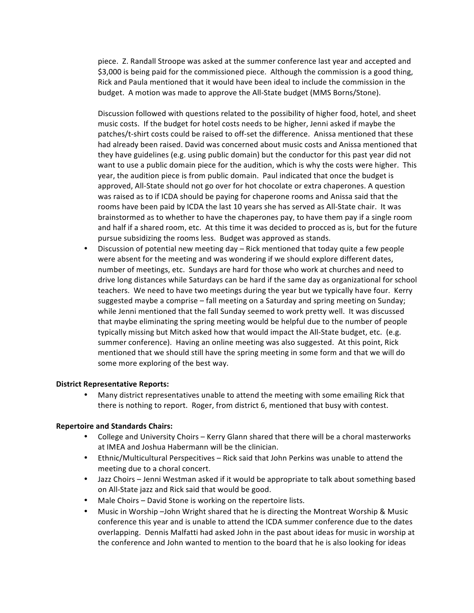piece. Z. Randall Stroope was asked at the summer conference last year and accepted and \$3,000 is being paid for the commissioned piece. Although the commission is a good thing, Rick and Paula mentioned that it would have been ideal to include the commission in the budget. A motion was made to approve the All-State budget (MMS Borns/Stone).

Discussion followed with questions related to the possibility of higher food, hotel, and sheet music costs. If the budget for hotel costs needs to be higher, Jenni asked if maybe the patches/t-shirt costs could be raised to off-set the difference. Anissa mentioned that these had already been raised. David was concerned about music costs and Anissa mentioned that they have guidelines (e.g. using public domain) but the conductor for this past year did not want to use a public domain piece for the audition, which is why the costs were higher. This year, the audition piece is from public domain. Paul indicated that once the budget is approved, All-State should not go over for hot chocolate or extra chaperones. A question was raised as to if ICDA should be paying for chaperone rooms and Anissa said that the rooms have been paid by ICDA the last 10 years she has served as All-State chair. It was brainstormed as to whether to have the chaperones pay, to have them pay if a single room and half if a shared room, etc. At this time it was decided to procced as is, but for the future pursue subsidizing the rooms less. Budget was approved as stands.

Discussion of potential new meeting day  $-$  Rick mentioned that today quite a few people were absent for the meeting and was wondering if we should explore different dates, number of meetings, etc. Sundays are hard for those who work at churches and need to drive long distances while Saturdays can be hard if the same day as organizational for school teachers. We need to have two meetings during the year but we typically have four. Kerry suggested maybe a comprise – fall meeting on a Saturday and spring meeting on Sunday; while Jenni mentioned that the fall Sunday seemed to work pretty well. It was discussed that maybe eliminating the spring meeting would be helpful due to the number of people typically missing but Mitch asked how that would impact the All-State budget, etc. (e.g. summer conference). Having an online meeting was also suggested. At this point, Rick mentioned that we should still have the spring meeting in some form and that we will do some more exploring of the best way.

### **District Representative Reports:**

• Many district representatives unable to attend the meeting with some emailing Rick that there is nothing to report. Roger, from district 6, mentioned that busy with contest.

### **Repertoire and Standards Chairs:**

- College and University Choirs Kerry Glann shared that there will be a choral masterworks at IMEA and Joshua Habermann will be the clinician.
- Ethnic/Multicultural Perspecitives Rick said that John Perkins was unable to attend the meeting due to a choral concert.
- Jazz Choirs Jenni Westman asked if it would be appropriate to talk about something based on All-State jazz and Rick said that would be good.
- Male Choirs David Stone is working on the repertoire lists.
- Music in Worship -John Wright shared that he is directing the Montreat Worship & Music conference this year and is unable to attend the ICDA summer conference due to the dates overlapping. Dennis Malfatti had asked John in the past about ideas for music in worship at the conference and John wanted to mention to the board that he is also looking for ideas